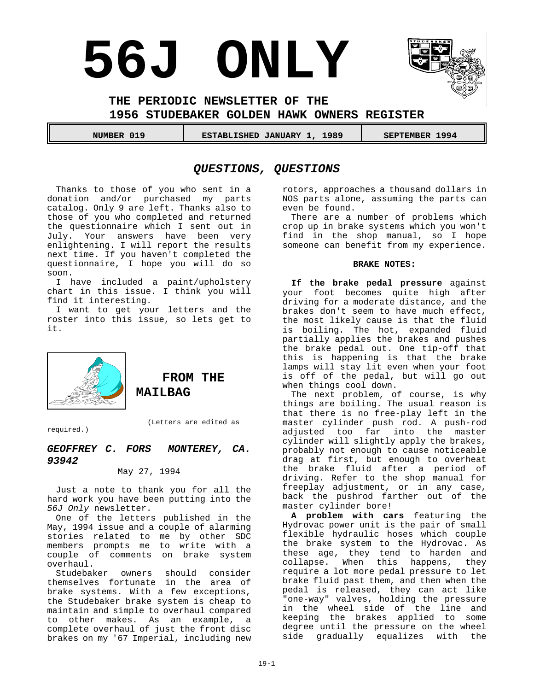# **56J ONLY**



**THE PERIODIC NEWSLETTER OF THE** 

**1956 STUDEBAKER GOLDEN HAWK OWNERS REGISTER**

NUMBER 019 **CONTACT SETABLISHED JANUARY 1, 1989** SEPTEMBER 1994

# *QUESTIONS, QUESTIONS*

Thanks to those of you who sent in a donation and/or purchased my parts catalog. Only 9 are left. Thanks also to those of you who completed and returned the questionnaire which I sent out in July. Your answers have been very enlightening. I will report the results next time. If you haven't completed the questionnaire, I hope you will do so soon.

I have included a paint/upholstery chart in this issue. I think you will find it interesting.

I want to get your letters and the roster into this issue, so lets get to it.



**FROM THE MAILBAG**

(Letters are edited as

required.)

# *GEOFFREY C. FORS MONTEREY, CA. 93942*

May 27, 1994

Just a note to thank you for all the hard work you have been putting into the *56J Only* newsletter.

One of the letters published in the May, 1994 issue and a couple of alarming stories related to me by other SDC members prompts me to write with a couple of comments on brake system overhaul.

Studebaker owners should consider themselves fortunate in the area of brake systems. With a few exceptions, the Studebaker brake system is cheap to maintain and simple to overhaul compared to other makes. As an example, a complete overhaul of just the front disc brakes on my '67 Imperial, including new rotors, approaches a thousand dollars in NOS parts alone, assuming the parts can even be found.

There are a number of problems which crop up in brake systems which you won't find in the shop manual, so I hope someone can benefit from my experience.

### **BRAKE NOTES:**

**If the brake pedal pressure** against your foot becomes quite high after driving for a moderate distance, and the brakes don't seem to have much effect, the most likely cause is that the fluid is boiling. The hot, expanded fluid partially applies the brakes and pushes the brake pedal out. One tip-off that this is happening is that the brake lamps will stay lit even when your foot is off of the pedal, but will go out when things cool down.

The next problem, of course, is why things are boiling. The usual reason is that there is no free-play left in the master cylinder push rod. A push-rod adjusted too far into the master cylinder will slightly apply the brakes, probably not enough to cause noticeable drag at first, but enough to overheat the brake fluid after a period of driving. Refer to the shop manual for freeplay adjustment, or in any case, back the pushrod farther out of the master cylinder bore!

**A problem with cars** featuring the Hydrovac power unit is the pair of small flexible hydraulic hoses which couple the brake system to the Hydrovac. As these age, they tend to harden and collapse. When this happens, they require a lot more pedal pressure to let brake fluid past them, and then when the pedal is released, they can act like "one-way" valves, holding the pressure in the wheel side of the line and keeping the brakes applied to some degree until the pressure on the wheel side gradually equalizes with the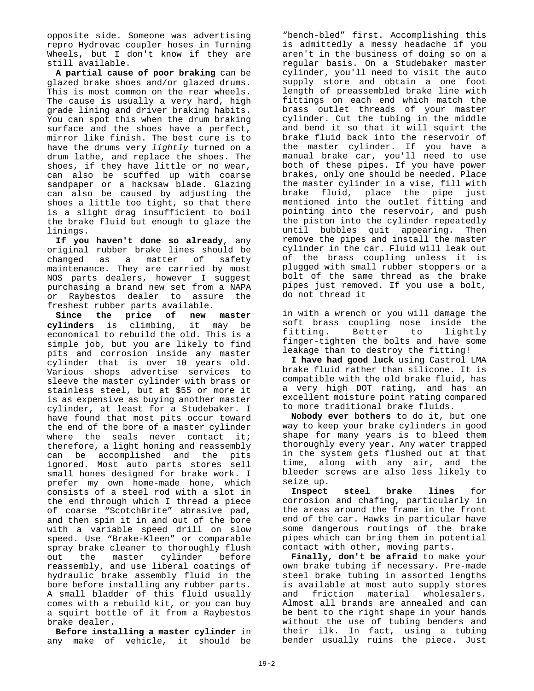opposite side. Someone was advertising repro Hydrovac coupler hoses in Turning Wheels, but I don't know if they are still available.

**A partial cause of poor braking** can be glazed brake shoes and/or glazed drums. This is most common on the rear wheels. The cause is usually a very hard, high grade lining and driver braking habits. You can spot this when the drum braking surface and the shoes have a perfect, mirror like finish. The best cure is to have the drums very *lightly* turned on a drum lathe, and replace the shoes. The shoes, if they have little or no wear, can also be scuffed up with coarse sandpaper or a hacksaw blade. Glazing can also be caused by adjusting the shoes a little too tight, so that there is a slight drag insufficient to boil the brake fluid but enough to glaze the linings.

**If you haven't done so already**, any original rubber brake lines should be changed as a matter of safety maintenance. They are carried by most NOS parts dealers, however I suggest purchasing a brand new set from a NAPA or Raybestos dealer to assure the freshest rubber parts available.

**Since the price of new master cylinders** is climbing, it may be economical to rebuild the old. This is a simple job, but you are likely to find pits and corrosion inside any master cylinder that is over 10 years old. Various shops advertise services to sleeve the master cylinder with brass or stainless steel, but at \$55 or more it is as expensive as buying another master cylinder, at least for a Studebaker. I have found that most pits occur toward the end of the bore of a master cylinder where the seals never contact it; therefore, a light honing and reassembly can be accomplished and the pits ignored. Most auto parts stores sell small hones designed for brake work. I prefer my own home-made hone, which consists of a steel rod with a slot in the end through which I thread a piece of coarse "ScotchBrite" abrasive pad, and then spin it in and out of the bore with a variable speed drill on slow speed. Use "Brake-Kleen" or comparable spray brake cleaner to thoroughly flush out the master cylinder before reassembly, and use liberal coatings of hydraulic brake assembly fluid in the bore before installing any rubber parts. A small bladder of this fluid usually comes with a rebuild kit, or you can buy a squirt bottle of it from a Raybestos brake dealer.

**Before installing a master cylinder** in any make of vehicle, it should be

"bench-bled" first. Accomplishing this is admittedly a messy headache if you aren't in the business of doing so on a regular basis. On a Studebaker master cylinder, you'll need to visit the auto supply store and obtain a one foot length of preassembled brake line with fittings on each end which match the brass outlet threads of your master cylinder. Cut the tubing in the middle and bend it so that it will squirt the brake fluid back into the reservoir of the master cylinder. If you have a manual brake car, you'll need to use both of these pipes. If you have power brakes, only one should be needed. Place the master cylinder in a vise, fill with brake fluid, place the pipe just mentioned into the outlet fitting and pointing into the reservoir, and push the piston into the cylinder repeatedly until bubbles quit appearing. Then remove the pipes and install the master cylinder in the car. Fluid will leak out of the brass coupling unless it is plugged with small rubber stoppers or a bolt of the same thread as the brake pipes just removed. If you use a bolt, do not thread it

in with a wrench or you will damage the soft brass coupling nose inside the<br>fitting. Better to lightly fitting. Better finger-tighten the bolts and have some leakage than to destroy the fitting!

**I have had good luck** using Castrol LMA brake fluid rather than silicone. It is compatible with the old brake fluid, has a very high DOT rating, and has an excellent moisture point rating compared to more traditional brake fluids.

**Nobody ever bothers** to do it, but one way to keep your brake cylinders in good shape for many years is to bleed them thoroughly every year. Any water trapped in the system gets flushed out at that time, along with any air, and the bleeder screws are also less likely to seize up.

**Inspect steel brake lines** for corrosion and chafing, particularly in the areas around the frame in the front end of the car. Hawks in particular have some dangerous routings of the brake pipes which can bring them in potential contact with other, moving parts.

**Finally, don't be afraid** to make your own brake tubing if necessary. Pre-made steel brake tubing in assorted lengths is available at most auto supply stores<br>and friction material wholesalers. and friction material Almost all brands are annealed and can be bent to the right shape in your hands without the use of tubing benders and their ilk. In fact, using a tubing bender usually ruins the piece. Just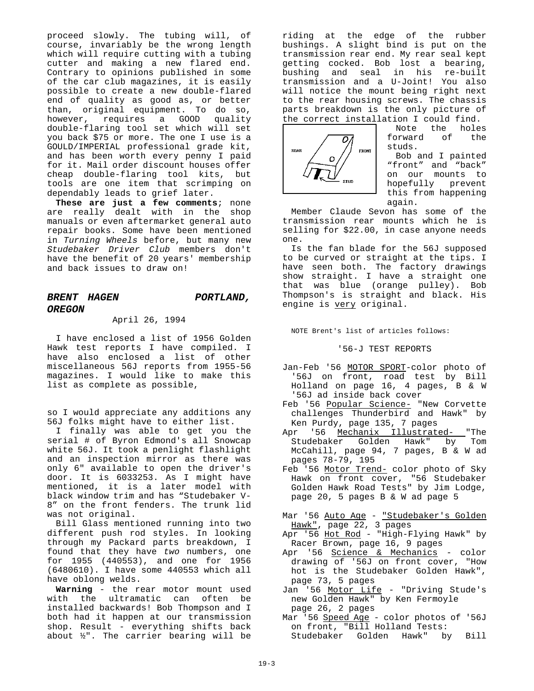proceed slowly. The tubing will, of course, invariably be the wrong length which will require cutting with a tubing cutter and making a new flared end. Contrary to opinions published in some of the car club magazines, it is easily possible to create a new double-flared end of quality as good as, or better than, original equipment. To do so, however, requires a GOOD quality double-flaring tool set which will set you back \$75 or more. The one I use is a GOULD/IMPERIAL professional grade kit, and has been worth every penny I paid for it. Mail order discount houses offer cheap double-flaring tool kits, but tools are one item that scrimping on dependably leads to grief later.

**These are just a few comments**; none are really dealt with in the shop manuals or even aftermarket general auto repair books. Some have been mentioned in *Turning Wheels* before, but many new *Studebaker Driver Club* members don't have the benefit of 20 years' membership and back issues to draw on!

# *BRENT HAGEN PORTLAND, OREGON*

### April 26, 1994

I have enclosed a list of 1956 Golden Hawk test reports I have compiled. I have also enclosed a list of other miscellaneous 56J reports from 1955-56 magazines. I would like to make this list as complete as possible,

so I would appreciate any additions any 56J folks might have to either list.

I finally was able to get you the serial # of Byron Edmond's all Snowcap white 56J. It took a penlight flashlight and an inspection mirror as there was only 6" available to open the driver's door. It is 6033253. As I might have mentioned, it is a later model with black window trim and has "Studebaker V-8" on the front fenders. The trunk lid was not original.

Bill Glass mentioned running into two different push rod styles. In looking through my Packard parts breakdown, I found that they have *two* numbers, one for 1955 (440553), and one for 1956 (6480610). I have some 440553 which all have oblong welds.

**Warning** - the rear motor mount used with the ultramatic can often be installed backwards! Bob Thompson and I both had it happen at our transmission shop. Result - everything shifts back about ½". The carrier bearing will be

riding at the edge of the rubber bushings. A slight bind is put on the transmission rear end. My rear seal kept getting cocked. Bob lost a bearing, bushing and seal in his re-built transmission and a U-Joint! You also will notice the mount being right next to the rear housing screws. The chassis parts breakdown is the only picture of the correct installation I could find.



Note the holes forward of the studs.

Bob and I painted "front" and "back" on our mounts to hopefully prevent this from happening again.

Member Claude Sevon has some of the transmission rear mounts which he is selling for \$22.00, in case anyone needs one.

Is the fan blade for the 56J supposed to be curved or straight at the tips. I have seen both. The factory drawings show straight. I have a straight one that was blue (orange pulley). Bob Thompson's is straight and black. His engine is very original.

NOTE Brent's list of articles follows:

'56-J TEST REPORTS

- Jan-Feb '56 MOTOR SPORT-color photo of '56J on front, road test by Bill Holland on page 16, 4 pages, B & W '56J ad inside back cover
- Feb '56 Popular Science- "New Corvette challenges Thunderbird and Hawk" by Ken Purdy, page 135, 7 pages
- Apr '56 Mechanix Illustrated- "The<br>Studebaker Golden Hawk" by Tom Studebaker Golden Hawk" by McCahill, page 94, 7 pages, B & W ad pages 78-79, 195
- Feb '56 Motor Trend- color photo of Sky Hawk on front cover, "56 Studebaker Golden Hawk Road Tests" by Jim Lodge, page 20, 5 pages B & W ad page 5
- Mar '56 <u>Auto Age</u> <u>"Studebaker's Golden</u> Hawk", page 22, 3 pages
- Apr '56 <u>Hot Rod</u> "High-Flying Hawk" by Racer Brown, page 16, 9 pages
- Apr '56 Science & Mechanics color drawing of '56J on front cover, "How hot is the Studebaker Golden Hawk", page 73, 5 pages
- Jan '56 Motor Life "Driving Stude's new Golden Hawk" by Ken Fermoyle page 26, 2 pages
- Mar '56 Speed Age color photos of '56J on front, "Bill Holland Tests: Studebaker Golden Hawk" by Bill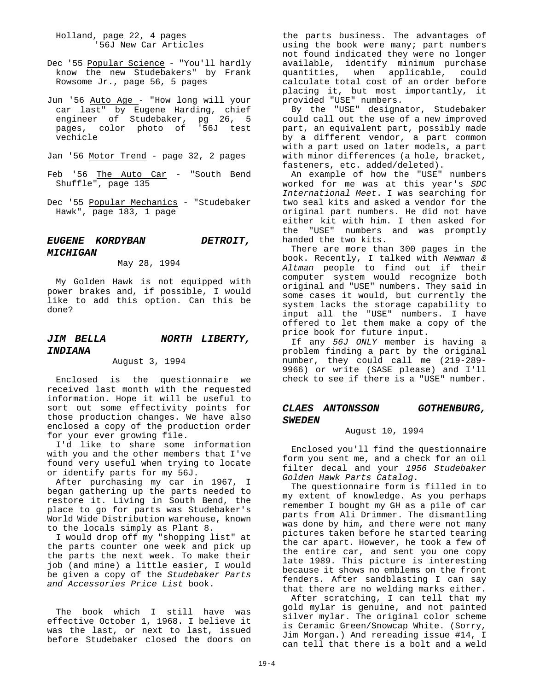Holland, page 22, 4 pages '56J New Car Articles

- Dec '55 Popular Science "You'll hardly know the new Studebakers" by Frank Rowsome Jr., page 56, 5 pages
- Jun '56 Auto Age "How long will your car last" by Eugene Harding, chief engineer of Studebaker, pg 26, 5 pages, color photo of '56J test vechicle
- Jan '56 Motor Trend page 32, 2 pages
- Feb '56 The Auto Car "South Bend Shuffle", page 135
- Dec '55 Popular Mechanics "Studebaker Hawk", page 183, 1 page

# *EUGENE KORDYBAN DETROIT, MICHIGAN*

### May 28, 1994

My Golden Hawk is not equipped with power brakes and, if possible, I would like to add this option. Can this be done?

# *JIM BELLA NORTH LIBERTY, INDIANA*

### August 3, 1994

Enclosed is the questionnaire we received last month with the requested information. Hope it will be useful to sort out some effectivity points for those production changes. We have also enclosed a copy of the production order for your ever growing file.

I'd like to share some information with you and the other members that I've found very useful when trying to locate or identify parts for my 56J.

After purchasing my car in 1967, I began gathering up the parts needed to restore it. Living in South Bend, the place to go for parts was Studebaker's World Wide Distribution warehouse, known to the locals simply as Plant 8.

I would drop off my "shopping list" at the parts counter one week and pick up the parts the next week. To make their job (and mine) a little easier, I would be given a copy of the *Studebaker Parts and Accessories Price List* book.

The book which I still have was effective October 1, 1968. I believe it was the last, or next to last, issued before Studebaker closed the doors on the parts business. The advantages of using the book were many; part numbers not found indicated they were no longer available, identify minimum purchase quantities, when applicable, could calculate total cost of an order before placing it, but most importantly, it provided "USE" numbers.

By the "USE" designator, Studebaker could call out the use of a new improved part, an equivalent part, possibly made by a different vendor, a part common with a part used on later models, a part with minor differences (a hole, bracket, fasteners, etc. added/deleted).

An example of how the "USE" numbers worked for me was at this year's *SDC International Meet*. I was searching for two seal kits and asked a vendor for the original part numbers. He did not have either kit with him. I then asked for the "USE" numbers and was promptly handed the two kits.

There are more than 300 pages in the book. Recently, I talked with *Newman & Altman* people to find out if their computer system would recognize both original and "USE" numbers. They said in some cases it would, but currently the system lacks the storage capability to input all the "USE" numbers. I have offered to let them make a copy of the price book for future input.

If any *56J ONLY* member is having a problem finding a part by the original number, they could call me (219-289- 9966) or write (SASE please) and I'll check to see if there is a "USE" number.

### *CLAES ANTONSSON GOTHENBURG, SWEDEN*

### August 10, 1994

Enclosed you'll find the questionnaire form you sent me, and a check for an oil filter decal and your *1956 Studebaker Golden Hawk Parts Catalog*.

The questionnaire form is filled in to my extent of knowledge. As you perhaps remember I bought my GH as a pile of car parts from Ali Drimmer. The dismantling was done by him, and there were not many pictures taken before he started tearing the car apart. However, he took a few of the entire car, and sent you one copy late 1989. This picture is interesting because it shows no emblems on the front fenders. After sandblasting I can say that there are no welding marks either.

After scratching, I can tell that my gold mylar is genuine, and not painted silver mylar. The original color scheme is Ceramic Green/Snowcap White. (Sorry, Jim Morgan.) And rereading issue #14, I can tell that there is a bolt and a weld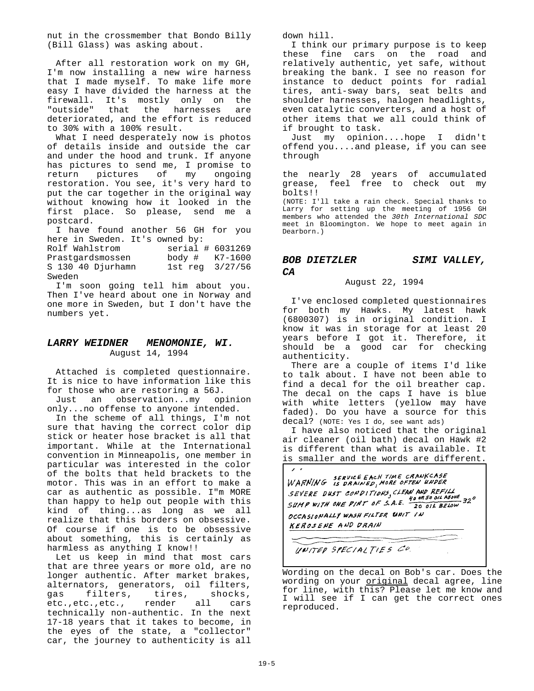nut in the crossmember that Bondo Billy (Bill Glass) was asking about.

After all restoration work on my GH, I'm now installing a new wire harness that I made myself. To make life more easy I have divided the harness at the firewall. It's mostly only on the "outside" that the harnesses are deteriorated, and the effort is reduced to 30% with a 100% result.

What I need desperately now is photos of details inside and outside the car and under the hood and trunk. If anyone has pictures to send me, I promise to return pictures of my ongoing restoration. You see, it's very hard to put the car together in the original way without knowing how it looked in the first place. So please, send me a postcard.

I have found another 56 GH for you here in Sweden. It's owned by:<br>Rolf Wahlstrom serial

Rolf Wahlstrom serial # 6031269<br>Prastgardsmossen body # K7-1600  $body # K7-1600$ S 130 40 Djurhamn 1st reg 3/27/56 Sweden

I'm soon going tell him about you. Then I've heard about one in Norway and one more in Sweden, but I don't have the numbers yet.

### *LARRY WEIDNER MENOMONIE, WI.* August 14, 1994

Attached is completed questionnaire. It is nice to have information like this for those who are restoring a 56J.

Just an observation...my opinion only...no offense to anyone intended.

In the scheme of all things, I'm not sure that having the correct color dip stick or heater hose bracket is all that important. While at the International convention in Minneapolis, one member in particular was interested in the color of the bolts that held brackets to the motor. This was in an effort to make a car as authentic as possible. I"m MORE than happy to help out people with this kind of thing...as long as we all realize that this borders on obsessive. Of course if one is to be obsessive about something, this is certainly as harmless as anything I know!!

Let us keep in mind that most cars that are three years or more old, are no longer authentic. After market brakes, alternators, generators, oil filters, gas filters, tires, shocks,<br>etc.,etc.,etc., render all cars etc.,etc.,etc., render all cars technically non-authentic. In the next 17-18 years that it takes to become, in the eyes of the state, a "collector" car, the journey to authenticity is all

down hill.

I think our primary purpose is to keep these fine cars on the road and relatively authentic, yet safe, without breaking the bank. I see no reason for instance to deduct points for radial tires, anti-sway bars, seat belts and shoulder harnesses, halogen headlights, even catalytic converters, and a host of other items that we all could think of if brought to task.

Just my opinion....hope I didn't offend you....and please, if you can see through

the nearly 28 years of accumulated grease, feel free to check out my bolts!!

(NOTE: I'll take a rain check. Special thanks to Larry for setting up the meeting of 1956 GH members who attended the *30th International SDC* meet in Bloomington. We hope to meet again in Dearborn.)

# *BOB DIETZLER SIMI VALLEY, CA*

August 22, 1994

I've enclosed completed questionnaires for both my Hawks. My latest hawk (6800307) is in original condition. I know it was in storage for at least 20 years before I got it. Therefore, it should be a good car for checking authenticity.

There are a couple of items I'd like to talk about. I have not been able to find a decal for the oil breather cap. The decal on the caps I have is blue with white letters (yellow may have faded). Do you have a source for this decal? (NOTE: Yes I do, see want ads)

I have also noticed that the original air cleaner (oil bath) decal on Hawk #2 is different than what is available. It is smaller and the words are different.



UNITED SPECIALTIES CO.

Wording on the decal on Bob's car. Does the wording on your original decal agree, line for line, with this? Please let me know and I will see if I can get the correct ones reproduced.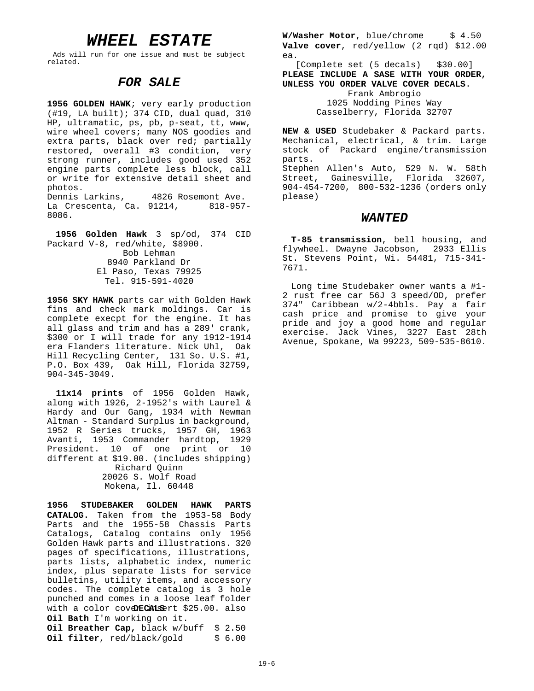# *WHEEL ESTATE*

Ads will run for one issue and must be subject related.

# *FOR SALE*

**1956 GOLDEN HAWK**; very early production (#19, LA built); 374 CID, dual quad, 310 HP, ultramatic, ps, pb, p-seat, tt, www, wire wheel covers; many NOS goodies and extra parts, black over red; partially restored, overall #3 condition, very strong runner, includes good used 352 engine parts complete less block, call or write for extensive detail sheet and photos.<br>Dennis Larkins,

4826 Rosemont Ave. La Crescenta, Ca. 91214, 818-957- 8086.

**1956 Golden Hawk** 3 sp/od, 374 CID Packard V-8, red/white, \$8900. Bob Lehman 8940 Parkland Dr El Paso, Texas 79925 Tel. 915-591-4020

**1956 SKY HAWK** parts car with Golden Hawk fins and check mark moldings. Car is complete execpt for the engine. It has all glass and trim and has a 289' crank, \$300 or I will trade for any 1912-1914 era Flanders literature. Nick Uhl, Oak Hill Recycling Center, 131 So. U.S. #1, P.O. Box 439, Oak Hill, Florida 32759, 904-345-3049.

**11x14 prints** of 1956 Golden Hawk, along with 1926, 2-1952's with Laurel & Hardy and Our Gang, 1934 with Newman Altman - Standard Surplus in background, 1952 R Series trucks, 1957 GH, 1963 Avanti, 1953 Commander hardtop, 1929 President. 10 of one print or 10 different at \$19.00. (includes shipping) Richard Quinn 20026 S. Wolf Road Mokena, Il. 60448

**1956 STUDEBAKER GOLDEN HAWK PARTS CATALOG.** Taken from the 1953-58 Body Parts and the 1955-58 Chassis Parts Catalogs, Catalog contains only 1956 Golden Hawk parts and illustrations. 320 pages of specifications, illustrations, parts lists, alphabetic index, numeric index, plus separate lists for service bulletins, utility items, and accessory codes. The complete catalog is 3 hole punched and comes in a loose leaf folder with a color coveDECALSErt \$25.00. also **Oil Bath** I'm working on it. **Oil Breather Cap,** black w/buff \$ 2.50 **Oil filter**, red/black/gold \$ 6.00

**W/Washer Motor**, blue/chrome \$ 4.50 **Valve cover**, red/yellow (2 rqd) \$12.00 ea.

[Complete set (5 decals) \$30.00] **PLEASE INCLUDE A SASE WITH YOUR ORDER, UNLESS YOU ORDER VALVE COVER DECALS**. Frank Ambrogio 1025 Nodding Pines Way

Casselberry, Florida 32707

**NEW & USED** Studebaker & Packard parts. Mechanical, electrical, & trim. Large stock of Packard engine/transmission parts. Stephen Allen's Auto, 529 N. W. 58th Street, Gainesville, Florida 32607, 904-454-7200, 800-532-1236 (orders only please)

### *WANTED*

**T-85 transmission**, bell housing, and flywheel. Dwayne Jacobson, 2933 Ellis St. Stevens Point, Wi. 54481, 715-341- 7671.

Long time Studebaker owner wants a #1- 2 rust free car 56J 3 speed/OD, prefer 374" Caribbean w/2-4bbls. Pay a fair cash price and promise to give your pride and joy a good home and regular exercise. Jack Vines, 3227 East 28th Avenue, Spokane, Wa 99223, 509-535-8610.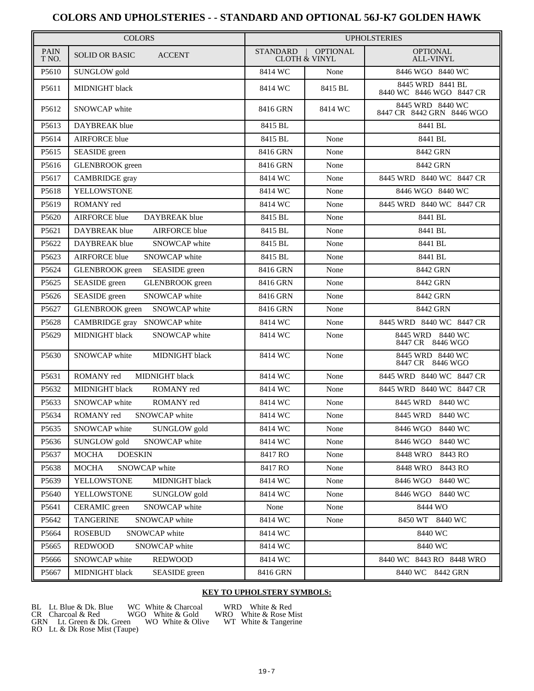# **COLORS AND UPHOLSTERIES - - STANDARD AND OPTIONAL 56J-K7 GOLDEN HAWK**

| <b>COLORS</b>        |                                         | <b>UPHOLSTERIES</b> |                                             |                                               |
|----------------------|-----------------------------------------|---------------------|---------------------------------------------|-----------------------------------------------|
| <b>PAIN</b><br>T NO. | <b>SOLID OR BASIC</b><br><b>ACCENT</b>  | <b>STANDARD</b>     | <b>OPTIONAL</b><br><b>CLOTH &amp; VINYL</b> | <b>OPTIONAL</b><br><b>ALL-VINYL</b>           |
| P5610                | SUNGLOW gold                            | 8414 WC             | None                                        | 8446 WGO 8440 WC                              |
| P5611                | MIDNIGHT black                          | 8414 WC             | 8415 BL                                     | 8445 WRD 8441 BL<br>8440 WC 8446 WGO 8447 CR  |
| P5612                | SNOWCAP white                           | 8416 GRN            | 8414 WC                                     | 8445 WRD 8440 WC<br>8447 CR 8442 GRN 8446 WGO |
| P5613                | DAYBREAK blue                           | 8415 BL             |                                             | 8441 BL                                       |
| P5614                | <b>AIRFORCE</b> blue                    | 8415 BL             | None                                        | 8441 BL                                       |
| P5615                | SEASIDE green                           | 8416 GRN            | None                                        | 8442 GRN                                      |
| P5616                | <b>GLENBROOK</b> green                  | 8416 GRN            | None                                        | 8442 GRN                                      |
| P5617                | CAMBRIDGE gray                          | 8414 WC             | None                                        | 8445 WRD 8440 WC 8447 CR                      |
| P5618                | YELLOWSTONE                             | 8414 WC             | None                                        | 8446 WGO 8440 WC                              |
| P5619                | ROMANY red                              | 8414 WC             | None                                        | 8445 WRD 8440 WC 8447 CR                      |
| P5620                | <b>AIRFORCE</b> blue<br>DAYBREAK blue   | 8415 BL             | None                                        | 8441 BL                                       |
| P5621                | DAYBREAK blue<br><b>AIRFORCE</b> blue   | 8415 BL             | None                                        | 8441 BL                                       |
| P5622                | DAYBREAK blue<br>SNOWCAP white          | 8415 BL             | None                                        | 8441 BL                                       |
| P5623                | <b>AIRFORCE</b> blue<br>SNOWCAP white   | 8415 BL             | None                                        | 8441 BL                                       |
| P5624                | <b>GLENBROOK</b> green<br>SEASIDE green | 8416 GRN            | None                                        | 8442 GRN                                      |
| P5625                | SEASIDE green<br><b>GLENBROOK</b> green | 8416 GRN            | None                                        | 8442 GRN                                      |
| P5626                | SEASIDE green<br>SNOWCAP white          | 8416 GRN            | None                                        | 8442 GRN                                      |
| P5627                | <b>GLENBROOK</b> green<br>SNOWCAP white | 8416 GRN            | None                                        | 8442 GRN                                      |
| P5628                | CAMBRIDGE gray SNOWCAP white            | 8414 WC             | None                                        | 8445 WRD 8440 WC 8447 CR                      |
| P5629                | MIDNIGHT black<br>SNOWCAP white         | 8414 WC             | None                                        | 8445 WRD 8440 WC<br>8447 CR 8446 WGO          |
| P5630                | SNOWCAP white<br>MIDNIGHT black         | 8414 WC             | None                                        | 8445 WRD 8440 WC<br>8447 CR 8446 WGO          |
| P5631                | MIDNIGHT black<br>ROMANY red            | 8414 WC             | None                                        | 8445 WRD 8440 WC 8447 CR                      |
| P5632                | MIDNIGHT black<br>ROMANY red            | 8414 WC             | None                                        | 8445 WRD 8440 WC 8447 CR                      |
| P5633                | SNOWCAP white<br>ROMANY red             | 8414 WC             | None                                        | 8445 WRD<br>8440 WC                           |
| P5634                | SNOWCAP white<br>ROMANY red             | 8414 WC             | None                                        | 8445 WRD<br>8440 WC                           |
| P5635                | SNOWCAP white<br>SUNGLOW gold           | 8414 WC             | None                                        | 8446 WGO<br>8440 WC                           |
| P5636                | SUNGLOW gold<br>SNOWCAP white           | 8414 WC             | None                                        | 8440 WC<br>8446 WGO                           |
| P5637                | <b>DOESKIN</b><br><b>MOCHA</b>          | 8417 RO             | None                                        | 8448 WRO<br>8443 RO                           |
| P5638                | <b>MOCHA</b><br>SNOWCAP white           | 8417 RO             | None                                        | 8448 WRO<br>8443 RO                           |
| P5639                | YELLOWSTONE<br>MIDNIGHT black           | 8414 WC             | None                                        | 8440 WC<br>8446 WGO                           |
| P5640                | YELLOWSTONE<br>SUNGLOW gold             | 8414 WC             | None                                        | 8446 WGO<br>8440 WC                           |
| P5641                | CERAMIC green<br>SNOWCAP white          | None                | None                                        | 8444 WO                                       |
| P5642                | <b>TANGERINE</b><br>SNOWCAP white       | 8414 WC             | None                                        | 8450 WT 8440 WC                               |
| P5664                | <b>ROSEBUD</b><br>SNOWCAP white         | 8414 WC             |                                             | 8440 WC                                       |
| P5665                | <b>REDWOOD</b><br>SNOWCAP white         | 8414 WC             |                                             | 8440 WC                                       |
| P5666                | SNOWCAP white<br><b>REDWOOD</b>         | 8414 WC             |                                             | 8440 WC 8443 RO 8448 WRO                      |
| P5667                | MIDNIGHT black<br>SEASIDE green         | 8416 GRN            |                                             | 8440 WC 8442 GRN                              |

### **KEY TO UPHOLSTERY SYMBOLS:**

BL Lt. Blue & Dk. Blue WC White & Charcoal WRD White & Red CR Charcoal & Red WGO White & Gold WRO White & Rose Mist GRN Lt. Green & Dk. Green WO White & Olive WT White & Tangerine BL Lt. Blue & Dk. Blue WC White & Charcoal<br>CR Charcoal & Red WGO White & Gold<br>GRN Lt. Green & Dk. Green WO White & Olive<br>RO Lt. & Dk Rose Mist (Taupe)